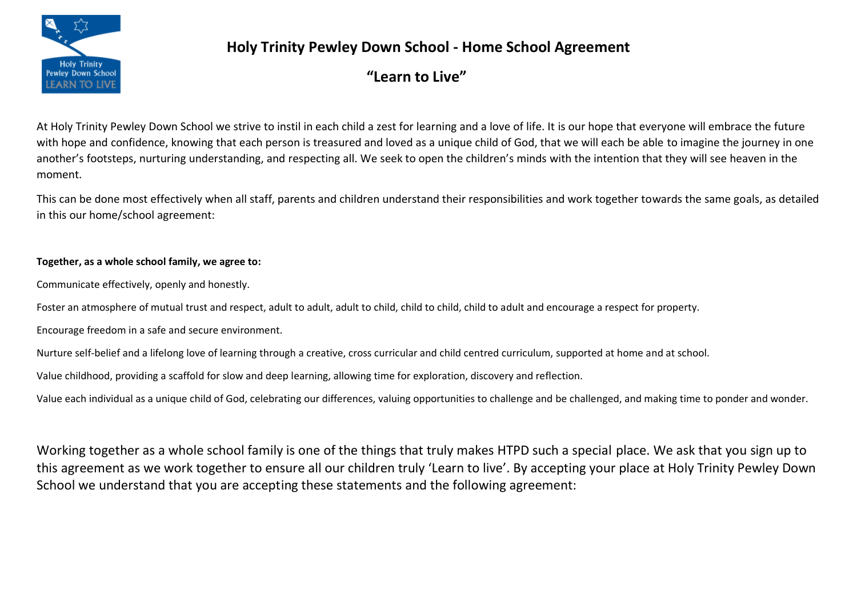

## **Holy Trinity Pewley Down School - Home School Agreement**

**"Learn to Live"**

At Holy Trinity Pewley Down School we strive to instil in each child a zest for learning and a love of life. It is our hope that everyone will embrace the future with hope and confidence, knowing that each person is treasured and loved as a unique child of God, that we will each be able to imagine the journey in one another's footsteps, nurturing understanding, and respecting all. We seek to open the children's minds with the intention that they will see heaven in the moment.

This can be done most effectively when all staff, parents and children understand their responsibilities and work together towards the same goals, as detailed in this our home/school agreement:

## **Together, as a whole school family, we agree to:**

Communicate effectively, openly and honestly.

Foster an atmosphere of mutual trust and respect, adult to adult, adult to child, child to child, child to adult and encourage a respect for property.

Encourage freedom in a safe and secure environment.

Nurture self-belief and a lifelong love of learning through a creative, cross curricular and child centred curriculum, supported at home and at school.

Value childhood, providing a scaffold for slow and deep learning, allowing time for exploration, discovery and reflection.

Value each individual as a unique child of God, celebrating our differences, valuing opportunities to challenge and be challenged, and making time to ponder and wonder.

Working together as a whole school family is one of the things that truly makes HTPD such a special place. We ask that you sign up to this agreement as we work together to ensure all our children truly 'Learn to live'. By accepting your place at Holy Trinity Pewley Down School we understand that you are accepting these statements and the following agreement: